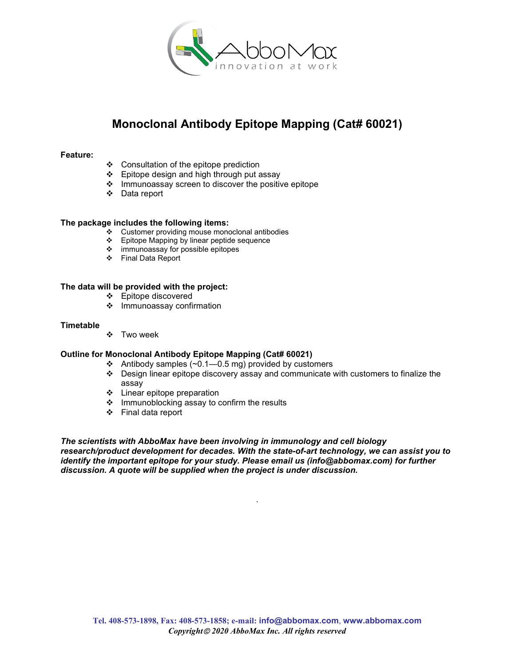

# Monoclonal Antibody Epitope Mapping (Cat# 60021)

## Feature:

- Consultation of the epitope prediction
- $\div$  Epitope design and high through put assay
- $\cdot \cdot$  Immunoassay screen to discover the positive epitope
- Data report

### The package includes the following items:

- $\cdot$  Customer providing mouse monoclonal antibodies
- Epitope Mapping by linear peptide sequence
- $\div$  immunoassay for possible epitopes
- Final Data Report

## The data will be provided with the project:

- Epitope discovered
- $\div$  Immunoassay confirmation

### **Timetable**

Two week

### Outline for Monoclonal Antibody Epitope Mapping (Cat# 60021)

- $\div$  Antibody samples (~0.1–0.5 mg) provided by customers
- $\div$  Design linear epitope discovery assay and communicate with customers to finalize the assay
- Linear epitope preparation
- ❖ Immunoblocking assay to confirm the results
- Final data report

## The scientists with AbboMax have been involving in immunology and cell biology

research/product development for decades. With the state-of-art technology, we can assist you to identify the important epitope for your study. Please email us (info@abbomax.com) for further discussion. A quote will be supplied when the project is under discussion.

.